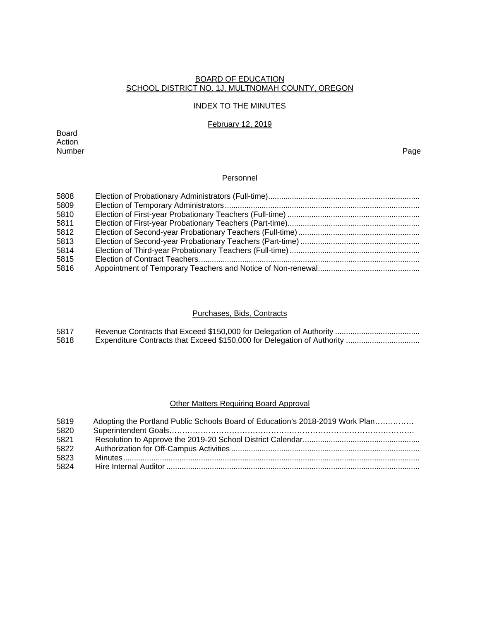#### BOARD OF EDUCATION SCHOOL DISTRICT NO. 1J, MULTNOMAH COUNTY, OREGON

# INDEX TO THE MINUTES

### February 12, 2019

Board Action Number Page

# **Personnel**

### Purchases, Bids, Contracts

| 5817 |  |
|------|--|
| 5818 |  |

# Other Matters Requiring Board Approval

| 5819 | Adopting the Portland Public Schools Board of Education's 2018-2019 Work Plan |
|------|-------------------------------------------------------------------------------|
| 5820 |                                                                               |
| 5821 |                                                                               |
| 5822 |                                                                               |
| 5823 |                                                                               |
| 5824 |                                                                               |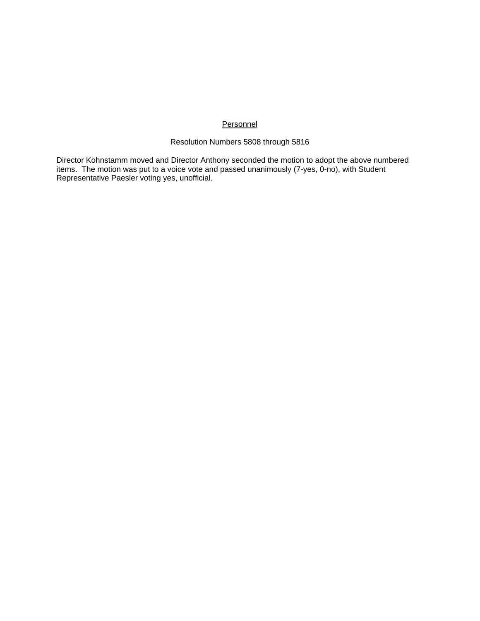## **Personnel**

### Resolution Numbers 5808 through 5816

Director Kohnstamm moved and Director Anthony seconded the motion to adopt the above numbered items. The motion was put to a voice vote and passed unanimously (7-yes, 0-no), with Student Representative Paesler voting yes, unofficial.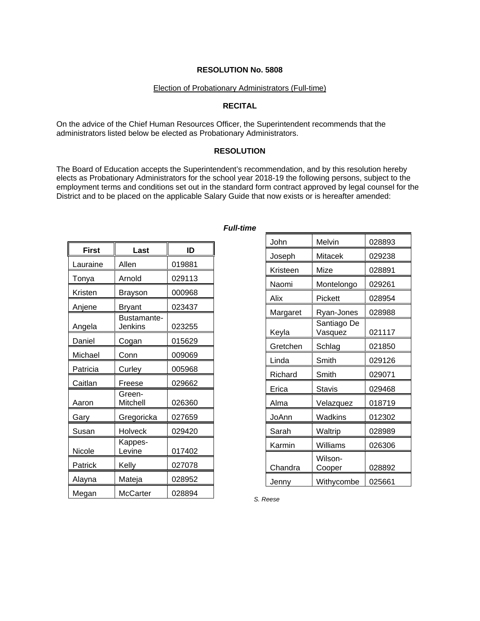#### Election of Probationary Administrators (Full-time)

#### **RECITAL**

On the advice of the Chief Human Resources Officer, the Superintendent recommends that the administrators listed below be elected as Probationary Administrators.

#### **RESOLUTION**

The Board of Education accepts the Superintendent's recommendation, and by this resolution hereby elects as Probationary Administrators for the school year 2018-19 the following persons, subject to the employment terms and conditions set out in the standard form contract approved by legal counsel for the District and to be placed on the applicable Salary Guide that now exists or is hereafter amended:

| <b>First</b> | Last                                 | ID     |
|--------------|--------------------------------------|--------|
| Lauraine     | Allen                                | 019881 |
| Tonya        | Arnold                               | 029113 |
| Kristen      | Brayson                              | 000968 |
| Anjene       | <b>Bryant</b>                        | 023437 |
| Angela       | <b>Bustamante-</b><br><b>Jenkins</b> | 023255 |
| Daniel       | Cogan                                | 015629 |
| Michael      | Conn                                 | 009069 |
| Patricia     | Curley                               | 005968 |
| Caitlan      | Freese                               | 029662 |
| Aaron        | Green-<br>Mitchell                   | 026360 |
| Gary         | Gregoricka                           | 027659 |
| Susan        | <b>Holveck</b>                       | 029420 |
| Nicole       | Kappes-<br>Levine                    | 017402 |
| Patrick      | Kelly                                | 027078 |
| Alayna       | Mateja                               | 028952 |
| Megan        | <b>McCarter</b>                      | 028894 |

#### *Full-time*

| John     | Melvin                 | 028893 |
|----------|------------------------|--------|
| Joseph   | Mitacek                | 029238 |
| Kristeen | Mize                   | 028891 |
| Naomi    | Montelongo             | 029261 |
| Alix     | Pickett                | 028954 |
| Margaret | Ryan-Jones             | 028988 |
| Keyla    | Santiago De<br>Vasquez | 021117 |
| Gretchen | Schlag                 | 021850 |
| Linda    | Smith                  | 029126 |
| Richard  | Smith                  | 029071 |
| Erica    | Stavis                 | 029468 |
| Alma     | Velazquez              | 018719 |
| JoAnn    | Wadkins                | 012302 |
| Sarah    | Waltrip                | 028989 |
| Karmin   | Williams               | 026306 |
| Chandra  | Wilson-<br>Cooper      | 028892 |
| Jenny    | Withycombe             | 025661 |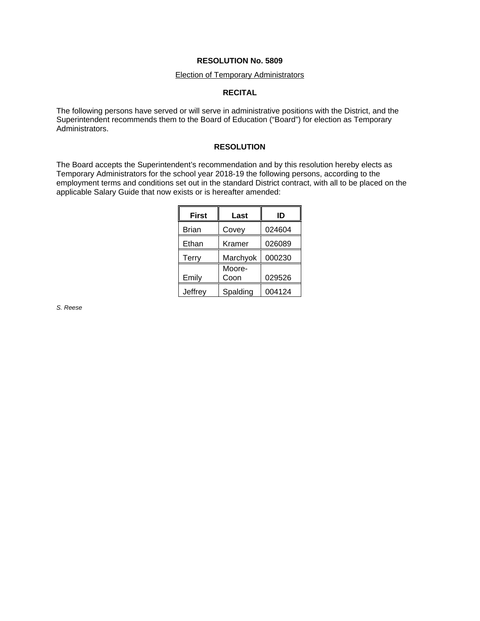# Election of Temporary Administrators

## **RECITAL**

The following persons have served or will serve in administrative positions with the District, and the Superintendent recommends them to the Board of Education ("Board") for election as Temporary Administrators.

### **RESOLUTION**

The Board accepts the Superintendent's recommendation and by this resolution hereby elects as Temporary Administrators for the school year 2018-19 the following persons, according to the employment terms and conditions set out in the standard District contract, with all to be placed on the applicable Salary Guide that now exists or is hereafter amended:

| <b>First</b> | Last     | ID     |
|--------------|----------|--------|
| <b>Brian</b> | Covey    | 024604 |
| Ethan        | Kramer   | 026089 |
| Terry        | Marchyok | 000230 |
|              | Moore-   |        |
| Emily        | Coon     | 029526 |
| Jeffrey      | Spalding | 004124 |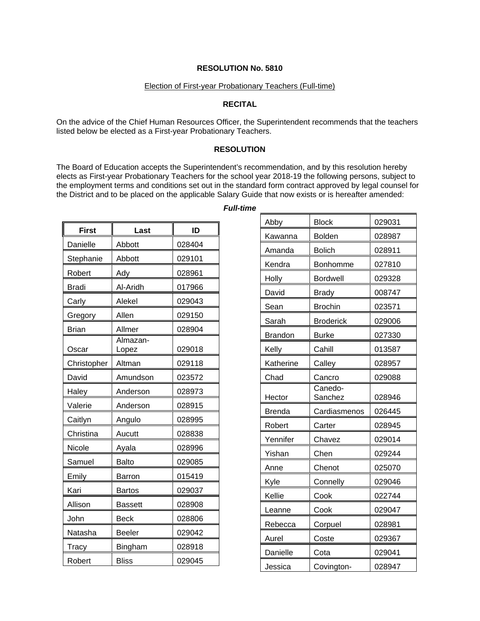#### Election of First-year Probationary Teachers (Full-time)

#### **RECITAL**

On the advice of the Chief Human Resources Officer, the Superintendent recommends that the teachers listed below be elected as a First-year Probationary Teachers.

#### **RESOLUTION**

The Board of Education accepts the Superintendent's recommendation, and by this resolution hereby elects as First-year Probationary Teachers for the school year 2018-19 the following persons, subject to the employment terms and conditions set out in the standard form contract approved by legal counsel for the District and to be placed on the applicable Salary Guide that now exists or is hereafter amended:

| <b>First</b> | Last              | ID     |
|--------------|-------------------|--------|
| Danielle     | Abbott            | 028404 |
| Stephanie    | Abbott            | 029101 |
| Robert       | Ady               | 028961 |
| Bradi        | Al-Aridh          | 017966 |
| Carly        | Alekel            | 029043 |
| Gregory      | Allen             | 029150 |
| <b>Brian</b> | Allmer            | 028904 |
| Oscar        | Almazan-<br>Lopez | 029018 |
| Christopher  | Altman            | 029118 |
| David        | Amundson          | 023572 |
| Haley        | Anderson          | 028973 |
| Valerie      | Anderson          | 028915 |
| Caitlyn      | Angulo            | 028995 |
| Christina    | Aucutt            | 028838 |
| Nicole       | Ayala             | 028996 |
| Samuel       | <b>Balto</b>      | 029085 |
| Emily        | Barron            | 015419 |
| Kari         | <b>Bartos</b>     | 029037 |
| Allison      | <b>Bassett</b>    | 028908 |
| John         | Beck              | 028806 |
| Natasha      | Beeler            | 029042 |
| Tracy        | Bingham           | 028918 |
| Robert       | <b>Bliss</b>      | 029045 |

*Full-time* 

| Abby           | <b>Block</b>       | 029031 |
|----------------|--------------------|--------|
| Kawanna        | <b>Bolden</b>      | 028987 |
| Amanda         | <b>Bolich</b>      | 028911 |
| Kendra         | Bonhomme           | 027810 |
| <b>Holly</b>   | <b>Bordwell</b>    | 029328 |
| David          | <b>Brady</b>       | 008747 |
| Sean           | <b>Brochin</b>     | 023571 |
| Sarah          | <b>Broderick</b>   | 029006 |
| <b>Brandon</b> | <b>Burke</b>       | 027330 |
| Kelly          | Cahill             | 013587 |
| Katherine      | Calley             | 028957 |
| Chad           | Cancro             | 029088 |
| Hector         | Canedo-<br>Sanchez | 028946 |
| <b>Brenda</b>  | Cardiasmenos       | 026445 |
| Robert         | Carter             | 028945 |
| Yennifer       | Chavez             | 029014 |
| Yishan         | Chen               | 029244 |
| Anne           | Chenot             | 025070 |
| Kyle           | Connelly           | 029046 |
| Kellie         | Cook               | 022744 |
| Leanne         | Cook               | 029047 |
| Rebecca        | Corpuel            | 028981 |
| Aurel          | Coste              | 029367 |
| Danielle       | Cota               | 029041 |
| Jessica        | Covington-         | 028947 |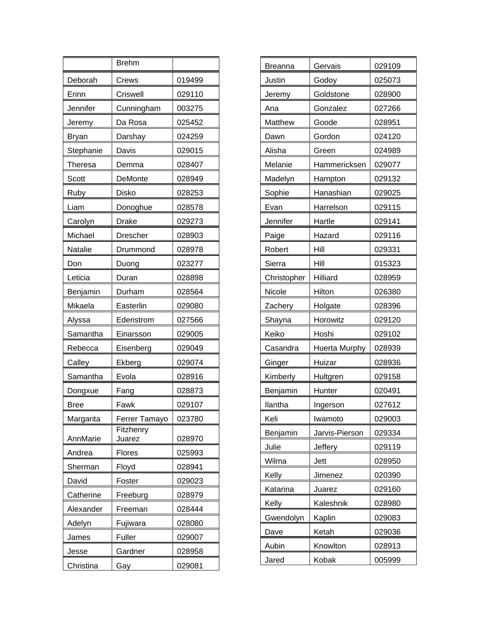|           | <b>Brehm</b>        |        |
|-----------|---------------------|--------|
| Deborah   | Crews               | 019499 |
| Erinn     | Criswell            | 029110 |
| Jennifer  | Cunningham          | 003275 |
| Jeremy    | Da Rosa             | 025452 |
| Bryan     | Darshay             | 024259 |
| Stephanie | Davis               | 029015 |
| Theresa   | Demma               | 028407 |
| Scott     | DeMonte             | 028949 |
| Ruby      | Disko               | 028253 |
| Liam      | Donoghue            | 028578 |
| Carolyn   | Drake               | 029273 |
| Michael   | Drescher            | 028903 |
| Natalie   | Drummond            | 028978 |
| Don       | Duong               | 023277 |
| Leticia   | Duran               | 028898 |
| Benjamin  | Durham              | 028564 |
| Mikaela   | Easterlin           | 029080 |
| Alyssa    | Edenstrom           | 027566 |
| Samantha  | Einarsson           | 029005 |
| Rebecca   | Eisenberg           | 029049 |
| Calley    | Ekberg              | 029074 |
| Samantha  | Evola               | 028916 |
| Dongxue   | Fang                | 028873 |
| Bree      | Fawk                | 029107 |
| Margarita | Ferrer Tamayo       | 023780 |
| AnnMarie  | Fitzhenry<br>Juarez | 028970 |
| Andrea    | Flores              | 025993 |
| Sherman   | Floyd               | 028941 |
| David     | Foster              | 029023 |
| Catherine | Freeburg            | 028979 |
| Alexander | Freeman             | 028444 |
| Adelyn    | Fujiwara            | 028080 |
| James     | Fuller              | 029007 |
| Jesse     | Gardner             | 028958 |
| Christina | Gay                 | 029081 |

| <b>Breanna</b> | Gervais              | 029109 |
|----------------|----------------------|--------|
| Justin         | Godoy                | 025073 |
| Jeremy         | Goldstone            | 028900 |
| Ana            | Gonzalez             | 027266 |
| Matthew        | Goode                | 028951 |
| Dawn           | Gordon               | 024120 |
| Alisha         | Green                | 024989 |
| Melanie        | Hammericksen         | 029077 |
| Madelyn        | Hampton              | 029132 |
| Sophie         | Hanashian            | 029025 |
| Evan           | Harrelson            | 029115 |
| Jennifer       | Hartle               | 029141 |
| Paige          | Hazard               | 029116 |
| Robert         | Hill                 | 029331 |
| Sierra         | Hill                 | 015323 |
| Christopher    | Hilliard             | 028959 |
| Nicole         | Hilton               | 026380 |
| Zachery        | Holgate              | 028396 |
| Shayna         | Horowitz             | 029120 |
| Keiko          | Hoshi                | 029102 |
| Casandra       | <b>Huerta Murphy</b> | 028939 |
| Ginger         | Huizar               | 028936 |
| Kimberly       | Hultgren             | 029158 |
| Benjamin       | Hunter               | 020491 |
| llantha        | Ingerson             | 027612 |
| Keli           | Iwamoto              | 029003 |
| Benjamin       | Jarvis-Pierson       | 029334 |
| Julie          | Jeffery              | 029119 |
| Wilma          | Jett                 | 028950 |
| Kelly          | Jimenez              | 020390 |
| Katarina       | Juarez               | 029160 |
| Kelly          | Kaleshnik            | 028980 |
| Gwendolyn      | Kaplin               | 029083 |
| Dave           | Ketah                | 029036 |
| Aubin          | Knowlton             | 028913 |
| Jared          | Kobak                | 005999 |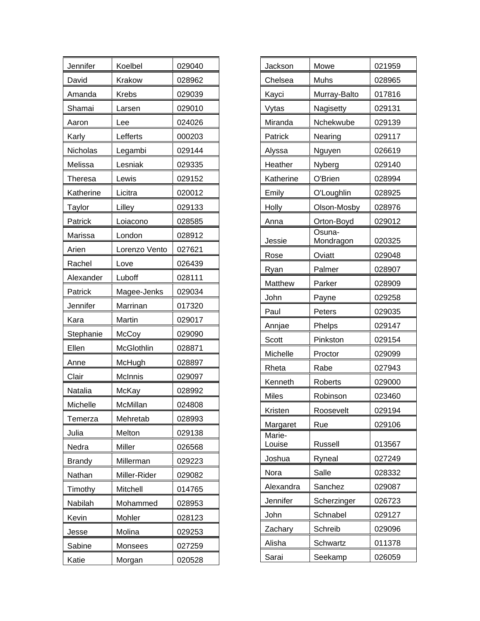| Jennifer      | Koelbel        | 029040 |
|---------------|----------------|--------|
| David         | Krakow         | 028962 |
| Amanda        | <b>Krebs</b>   | 029039 |
| Shamai        | Larsen         | 029010 |
| Aaron         | Lee            | 024026 |
| Karly         | Lefferts       | 000203 |
| Nicholas      | Legambi        | 029144 |
| Melissa       | Lesniak        | 029335 |
| Theresa       | Lewis          | 029152 |
| Katherine     | Licitra        | 020012 |
| <b>Taylor</b> | Lilley         | 029133 |
| Patrick       | Loiacono       | 028585 |
| Marissa       | London         | 028912 |
| Arien         | Lorenzo Vento  | 027621 |
| Rachel        | Love           | 026439 |
| Alexander     | Luboff         | 028111 |
| Patrick       | Magee-Jenks    | 029034 |
| Jennifer      | Marrinan       | 017320 |
| Kara          | Martin         | 029017 |
| Stephanie     | McCoy          | 029090 |
| Ellen         | McGlothlin     | 028871 |
| Anne          | McHugh         | 028897 |
| Clair         | <b>McInnis</b> | 029097 |
| Natalia       | McKay          | 028992 |
| Michelle      | McMillan       | 024808 |
| Temerza       | Mehretab       | 028993 |
| Julia         | Melton         | 029138 |
| Nedra         | Miller         | 026568 |
| <b>Brandy</b> | Millerman      | 029223 |
| Nathan        | Miller-Rider   | 029082 |
| Timothy       | Mitchell       | 014765 |
| Nabilah       | Mohammed       | 028953 |
| Kevin         | Mohler         | 028123 |
| Jesse         | Molina         | 029253 |
| Sabine        | Monsees        | 027259 |
| Katie         | Morgan         | 020528 |

| Jackson          | Mowe                | 021959 |
|------------------|---------------------|--------|
| Chelsea          | Muhs                | 028965 |
| Kayci            | Murray-Balto        | 017816 |
| Vytas            | Nagisetty           | 029131 |
| Miranda          | Nchekwube           | 029139 |
| Patrick          | Nearing             | 029117 |
| Alyssa           | Nguyen              | 026619 |
| Heather          | Nyberg              | 029140 |
| Katherine        | O'Brien             | 028994 |
| Emily            | O'Loughlin          | 028925 |
| Holly            | Olson-Mosby         | 028976 |
| Anna             | Orton-Boyd          | 029012 |
| Jessie           | Osuna-<br>Mondragon | 020325 |
| Rose             | Oviatt              | 029048 |
| Ryan             | Palmer              | 028907 |
| Matthew          | Parker              | 028909 |
| John             | Payne               | 029258 |
| Paul             | Peters              | 029035 |
| Annjae           | Phelps              | 029147 |
| Scott            | Pinkston            | 029154 |
| Michelle         | Proctor             | 029099 |
| Rheta            | Rabe                | 027943 |
| Kenneth          | Roberts             | 029000 |
| <b>Miles</b>     | Robinson            | 023460 |
| Kristen          | Roosevelt           | 029194 |
| Margaret         | Rue                 | 029106 |
| Marie-<br>Louise | <b>Russell</b>      | 013567 |
| Joshua           | Ryneal              | 027249 |
| Nora             | Salle               | 028332 |
| Alexandra        | Sanchez             | 029087 |
| Jennifer         | Scherzinger         | 026723 |
| John             | Schnabel            | 029127 |
| Zachary          | Schreib             | 029096 |
| Alisha           | Schwartz            | 011378 |
| Sarai            | Seekamp             | 026059 |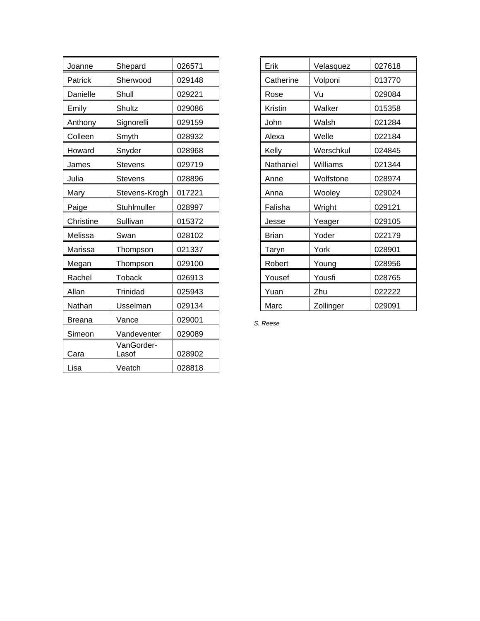| Joanne        | Shepard             | 026571 |
|---------------|---------------------|--------|
| Patrick       | Sherwood            | 029148 |
| Danielle      | Shull               | 029221 |
| Emily         | Shultz              | 029086 |
| Anthony       | Signorelli          | 029159 |
| Colleen       | Smyth               | 028932 |
| Howard        | Snyder              | 028968 |
| James         | <b>Stevens</b>      | 029719 |
| Julia         | <b>Stevens</b>      | 028896 |
| Mary          | Stevens-Krogh       | 017221 |
| Paige         | Stuhlmuller         | 028997 |
| Christine     | Sullivan            | 015372 |
| Melissa       | Swan                | 028102 |
| Marissa       | Thompson            | 021337 |
| Megan         | Thompson            | 029100 |
| Rachel        | <b>Toback</b>       | 026913 |
| Allan         | <b>Trinidad</b>     | 025943 |
| Nathan        | Usselman            | 029134 |
| <b>Breana</b> | Vance               | 029001 |
| Simeon        | Vandeventer         | 029089 |
| Cara          | VanGorder-<br>Lasof | 028902 |
| Lisa          | Veatch              | 028818 |

| Erik         | Velasquez | 027618 |
|--------------|-----------|--------|
| Catherine    | Volponi   | 013770 |
| Rose         | Vu        | 029084 |
| Kristin      | Walker    | 015358 |
| John         | Walsh     | 021284 |
| Alexa        | Welle     | 022184 |
| Kelly        | Werschkul | 024845 |
| Nathaniel    | Williams  | 021344 |
| Anne         | Wolfstone | 028974 |
| Anna         | Wooley    | 029024 |
| Falisha      | Wright    | 029121 |
| Jesse        | Yeager    | 029105 |
| <b>Brian</b> | Yoder     | 022179 |
| Taryn        | York      | 028901 |
| Robert       | Young     | 028956 |
| Yousef       | Yousfi    | 028765 |
| Yuan         | Zhu       | 022222 |
| Marc         | Zollinger | 029091 |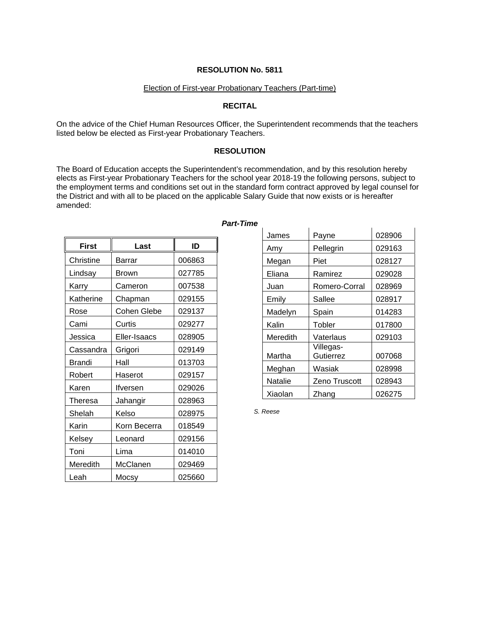#### Election of First-year Probationary Teachers (Part-time)

#### **RECITAL**

On the advice of the Chief Human Resources Officer, the Superintendent recommends that the teachers listed below be elected as First-year Probationary Teachers.

#### **RESOLUTION**

The Board of Education accepts the Superintendent's recommendation, and by this resolution hereby elects as First-year Probationary Teachers for the school year 2018-19 the following persons, subject to the employment terms and conditions set out in the standard form contract approved by legal counsel for the District and with all to be placed on the applicable Salary Guide that now exists or is hereafter amended:

| <b>First</b> | Last          | ID     |
|--------------|---------------|--------|
| Christine    | <b>Barrar</b> | 006863 |
| Lindsay      | Brown         | 027785 |
| Karry        | Cameron       | 007538 |
| Katherine    | Chapman       | 029155 |
| Rose         | Cohen Glebe   | 029137 |
| Cami         | Curtis        | 029277 |
| Jessica      | Eller-Isaacs  | 028905 |
| Cassandra    | Grigori       | 029149 |
| Brandi       | Hall          | 013703 |
| Robert       | Haserot       | 029157 |
| Karen        | Ifversen      | 029026 |
| Theresa      | Jahangir      | 028963 |
| Shelah       | Kelso         | 028975 |
| Karin        | Korn Becerra  | 018549 |
| Kelsey       | Leonard       | 029156 |
| Toni         | Lima          | 014010 |
| Meredith     | McClanen      | 029469 |
| Leah         | Mocsy         | 025660 |

# $James$   $Payne$  028906 Amy Pellegrin 029163 Megan | Piet | 028127 Eliana | Ramirez | 029028 Juan Romero-Corral 028969 Emily Sallee | 028917 Madelyn Spain | 014283 Kalin | Tobler | 017800 Meredith Vaterlaus | 029103 Martha Villegas-Gutierrez | 007068 Meghan | Wasiak | 028998 Natalie | Zeno Truscott | 028943 Xiaolan Zhang | 026275

*S. Reese*

#### *Part-Time*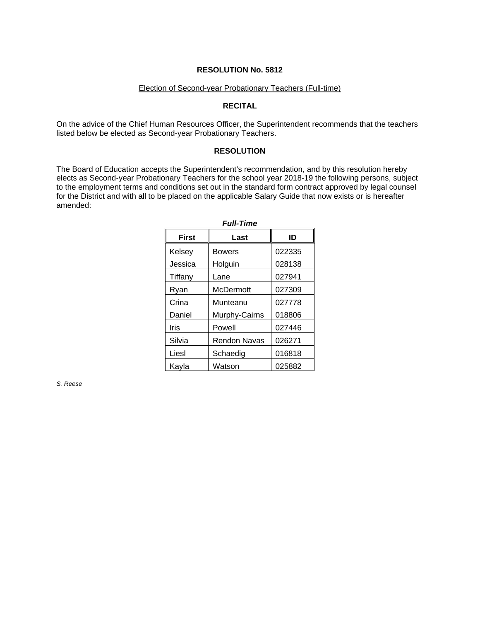#### Election of Second-year Probationary Teachers (Full-time)

#### **RECITAL**

On the advice of the Chief Human Resources Officer, the Superintendent recommends that the teachers listed below be elected as Second-year Probationary Teachers.

#### **RESOLUTION**

The Board of Education accepts the Superintendent's recommendation, and by this resolution hereby elects as Second-year Probationary Teachers for the school year 2018-19 the following persons, subject to the employment terms and conditions set out in the standard form contract approved by legal counsel for the District and with all to be placed on the applicable Salary Guide that now exists or is hereafter amended:

| ----------   |               |        |  |  |  |
|--------------|---------------|--------|--|--|--|
| <b>First</b> | Last          |        |  |  |  |
| Kelsey       | Bowers        | 022335 |  |  |  |
| Jessica      | Holguin       | 028138 |  |  |  |
| Tiffany      | Lane          | 027941 |  |  |  |
| Ryan         | McDermott     | 027309 |  |  |  |
| Crina        | Munteanu      | 027778 |  |  |  |
| Daniel       | Murphy-Cairns | 018806 |  |  |  |
| Iris         | Powell        | 027446 |  |  |  |
| Silvia       | Rendon Navas  | 026271 |  |  |  |
| Liesl        | Schaedig      | 016818 |  |  |  |
| Kayla        | Watson        | 025882 |  |  |  |

*Full-Time*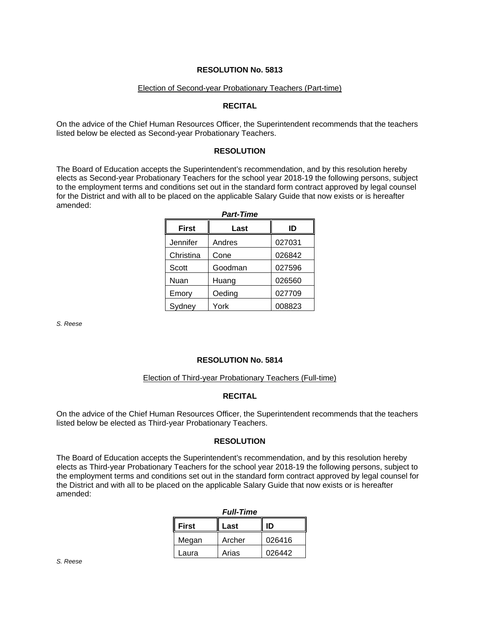#### Election of Second-year Probationary Teachers (Part-time)

#### **RECITAL**

On the advice of the Chief Human Resources Officer, the Superintendent recommends that the teachers listed below be elected as Second-year Probationary Teachers.

#### **RESOLUTION**

The Board of Education accepts the Superintendent's recommendation, and by this resolution hereby elects as Second-year Probationary Teachers for the school year 2018-19 the following persons, subject to the employment terms and conditions set out in the standard form contract approved by legal counsel for the District and with all to be placed on the applicable Salary Guide that now exists or is hereafter amended:

| <b>Part-Time</b> |         |        |  |  |
|------------------|---------|--------|--|--|
| <b>First</b>     | Last    | ID     |  |  |
| Jennifer         | Andres  | 027031 |  |  |
| Christina        | Cone    | 026842 |  |  |
| Scott            | Goodman | 027596 |  |  |
| Nuan             | Huang   | 026560 |  |  |
| Emory            | Oeding  | 027709 |  |  |
| Sydney           | York    | 008823 |  |  |

*S. Reese*

#### **RESOLUTION No. 5814**

#### Election of Third-year Probationary Teachers (Full-time)

#### **RECITAL**

On the advice of the Chief Human Resources Officer, the Superintendent recommends that the teachers listed below be elected as Third-year Probationary Teachers.

#### **RESOLUTION**

The Board of Education accepts the Superintendent's recommendation, and by this resolution hereby elects as Third-year Probationary Teachers for the school year 2018-19 the following persons, subject to the employment terms and conditions set out in the standard form contract approved by legal counsel for the District and with all to be placed on the applicable Salary Guide that now exists or is hereafter amended:

| <b>Full-Time</b> |        |        |  |  |
|------------------|--------|--------|--|--|
| <b>First</b>     | Last   | ID     |  |  |
| Megan            | Archer | 026416 |  |  |
| Laura            | Arias  | 026442 |  |  |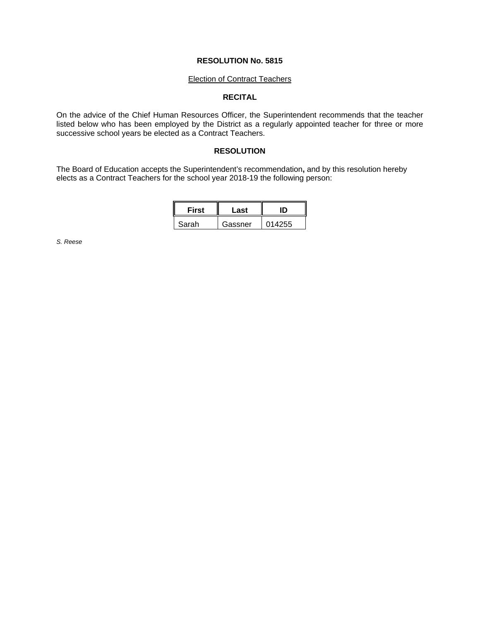#### Election of Contract Teachers

# **RECITAL**

On the advice of the Chief Human Resources Officer, the Superintendent recommends that the teacher listed below who has been employed by the District as a regularly appointed teacher for three or more successive school years be elected as a Contract Teachers.

#### **RESOLUTION**

The Board of Education accepts the Superintendent's recommendation**,** and by this resolution hereby elects as a Contract Teachers for the school year 2018-19 the following person:

| First | Last    |        |
|-------|---------|--------|
| Sarah | Gassner | 014255 |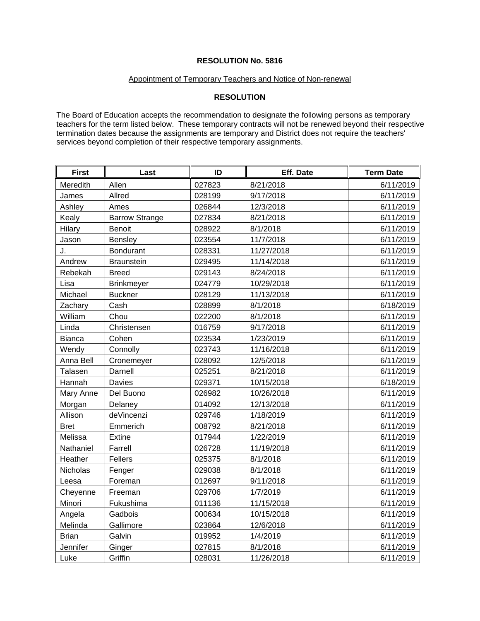#### Appointment of Temporary Teachers and Notice of Non-renewal

# **RESOLUTION**

The Board of Education accepts the recommendation to designate the following persons as temporary teachers for the term listed below. These temporary contracts will not be renewed beyond their respective termination dates because the assignments are temporary and District does not require the teachers' services beyond completion of their respective temporary assignments.

| <b>First</b>  | Last                  | ID     | Eff. Date  | <b>Term Date</b> |
|---------------|-----------------------|--------|------------|------------------|
| Meredith      | Allen                 | 027823 | 8/21/2018  | 6/11/2019        |
| James         | Allred                | 028199 | 9/17/2018  | 6/11/2019        |
| Ashley        | Ames                  | 026844 | 12/3/2018  | 6/11/2019        |
| Kealy         | <b>Barrow Strange</b> | 027834 | 8/21/2018  | 6/11/2019        |
| Hilary        | Benoit                | 028922 | 8/1/2018   | 6/11/2019        |
| Jason         | <b>Bensley</b>        | 023554 | 11/7/2018  | 6/11/2019        |
| J.            | <b>Bondurant</b>      | 028331 | 11/27/2018 | 6/11/2019        |
| Andrew        | <b>Braunstein</b>     | 029495 | 11/14/2018 | 6/11/2019        |
| Rebekah       | <b>Breed</b>          | 029143 | 8/24/2018  | 6/11/2019        |
| Lisa          | <b>Brinkmeyer</b>     | 024779 | 10/29/2018 | 6/11/2019        |
| Michael       | <b>Buckner</b>        | 028129 | 11/13/2018 | 6/11/2019        |
| Zachary       | Cash                  | 028899 | 8/1/2018   | 6/18/2019        |
| William       | Chou                  | 022200 | 8/1/2018   | 6/11/2019        |
| Linda         | Christensen           | 016759 | 9/17/2018  | 6/11/2019        |
| <b>Bianca</b> | Cohen                 | 023534 | 1/23/2019  | 6/11/2019        |
| Wendy         | Connolly              | 023743 | 11/16/2018 | 6/11/2019        |
| Anna Bell     | Cronemeyer            | 028092 | 12/5/2018  | 6/11/2019        |
| Talasen       | Darnell               | 025251 | 8/21/2018  | 6/11/2019        |
| Hannah        | Davies                | 029371 | 10/15/2018 | 6/18/2019        |
| Mary Anne     | Del Buono             | 026982 | 10/26/2018 | 6/11/2019        |
| Morgan        | Delaney               | 014092 | 12/13/2018 | 6/11/2019        |
| Allison       | deVincenzi            | 029746 | 1/18/2019  | 6/11/2019        |
| <b>Bret</b>   | Emmerich              | 008792 | 8/21/2018  | 6/11/2019        |
| Melissa       | Extine                | 017944 | 1/22/2019  | 6/11/2019        |
| Nathaniel     | Farrell               | 026728 | 11/19/2018 | 6/11/2019        |
| Heather       | Fellers               | 025375 | 8/1/2018   | 6/11/2019        |
| Nicholas      | Fenger                | 029038 | 8/1/2018   | 6/11/2019        |
| Leesa         | Foreman               | 012697 | 9/11/2018  | 6/11/2019        |
| Cheyenne      | Freeman               | 029706 | 1/7/2019   | 6/11/2019        |
| Minori        | Fukushima             | 011136 | 11/15/2018 | 6/11/2019        |
| Angela        | Gadbois               | 000634 | 10/15/2018 | 6/11/2019        |
| Melinda       | Gallimore             | 023864 | 12/6/2018  | 6/11/2019        |
| <b>Brian</b>  | Galvin                | 019952 | 1/4/2019   | 6/11/2019        |
| Jennifer      | Ginger                | 027815 | 8/1/2018   | 6/11/2019        |
| Luke          | Griffin               | 028031 | 11/26/2018 | 6/11/2019        |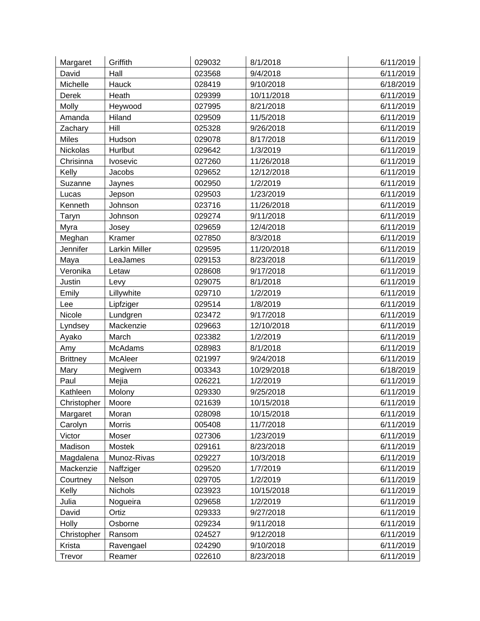| Margaret        | Griffith      | 029032 | 8/1/2018   | 6/11/2019 |
|-----------------|---------------|--------|------------|-----------|
| David           | Hall          | 023568 | 9/4/2018   | 6/11/2019 |
| Michelle        | Hauck         | 028419 | 9/10/2018  | 6/18/2019 |
| Derek           | Heath         | 029399 | 10/11/2018 | 6/11/2019 |
| <b>Molly</b>    | Heywood       | 027995 | 8/21/2018  | 6/11/2019 |
| Amanda          | Hiland        | 029509 | 11/5/2018  | 6/11/2019 |
| Zachary         | Hill          | 025328 | 9/26/2018  | 6/11/2019 |
| <b>Miles</b>    | Hudson        | 029078 | 8/17/2018  | 6/11/2019 |
| Nickolas        | Hurlbut       | 029642 | 1/3/2019   | 6/11/2019 |
| Chrisinna       | Ivosevic      | 027260 | 11/26/2018 | 6/11/2019 |
| Kelly           | Jacobs        | 029652 | 12/12/2018 | 6/11/2019 |
| Suzanne         | <b>Jaynes</b> | 002950 | 1/2/2019   | 6/11/2019 |
| Lucas           | Jepson        | 029503 | 1/23/2019  | 6/11/2019 |
| Kenneth         | Johnson       | 023716 | 11/26/2018 | 6/11/2019 |
| Taryn           | Johnson       | 029274 | 9/11/2018  | 6/11/2019 |
| Myra            | Josey         | 029659 | 12/4/2018  | 6/11/2019 |
| Meghan          | Kramer        | 027850 | 8/3/2018   | 6/11/2019 |
| Jennifer        | Larkin Miller | 029595 | 11/20/2018 | 6/11/2019 |
| Maya            | LeaJames      | 029153 | 8/23/2018  | 6/11/2019 |
| Veronika        | Letaw         | 028608 | 9/17/2018  | 6/11/2019 |
| Justin          | Levy          | 029075 | 8/1/2018   | 6/11/2019 |
| Emily           | Lillywhite    | 029710 | 1/2/2019   | 6/11/2019 |
| Lee             | Lipfziger     | 029514 | 1/8/2019   | 6/11/2019 |
| Nicole          | Lundgren      | 023472 | 9/17/2018  | 6/11/2019 |
| Lyndsey         | Mackenzie     | 029663 | 12/10/2018 | 6/11/2019 |
| Ayako           | March         | 023382 | 1/2/2019   | 6/11/2019 |
| Amy             | McAdams       | 028983 | 8/1/2018   | 6/11/2019 |
| <b>Brittney</b> | McAleer       | 021997 | 9/24/2018  | 6/11/2019 |
| Mary            | Megivern      | 003343 | 10/29/2018 | 6/18/2019 |
| Paul            | Mejia         | 026221 | 1/2/2019   | 6/11/2019 |
| Kathleen        | Molony        | 029330 | 9/25/2018  | 6/11/2019 |
| Christopher     | Moore         | 021639 | 10/15/2018 | 6/11/2019 |
| Margaret        | Moran         | 028098 | 10/15/2018 | 6/11/2019 |
| Carolyn         | <b>Morris</b> | 005408 | 11/7/2018  | 6/11/2019 |
| Victor          | Moser         | 027306 | 1/23/2019  | 6/11/2019 |
| Madison         | Mostek        | 029161 | 8/23/2018  | 6/11/2019 |
| Magdalena       | Munoz-Rivas   | 029227 | 10/3/2018  | 6/11/2019 |
| Mackenzie       | Naffziger     | 029520 | 1/7/2019   | 6/11/2019 |
| Courtney        | Nelson        | 029705 | 1/2/2019   | 6/11/2019 |
| Kelly           | Nichols       | 023923 | 10/15/2018 | 6/11/2019 |
| Julia           | Nogueira      | 029658 | 1/2/2019   | 6/11/2019 |
| David           | Ortiz         | 029333 | 9/27/2018  | 6/11/2019 |
| Holly           | Osborne       | 029234 | 9/11/2018  | 6/11/2019 |
| Christopher     | Ransom        | 024527 | 9/12/2018  | 6/11/2019 |
| Krista          | Ravengael     | 024290 | 9/10/2018  | 6/11/2019 |
| Trevor          | Reamer        | 022610 | 8/23/2018  | 6/11/2019 |
|                 |               |        |            |           |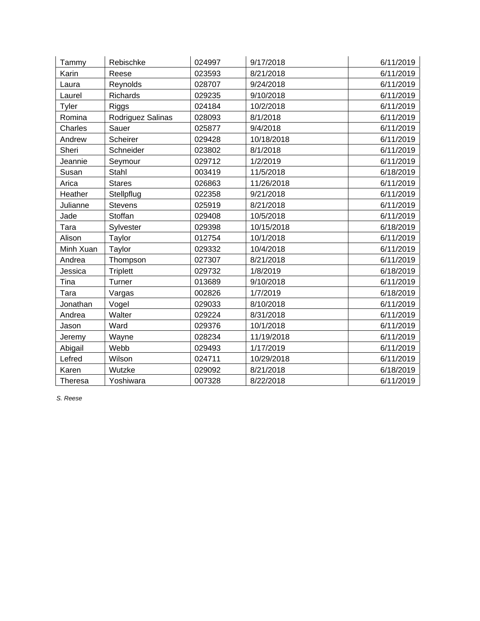| Tammy          | Rebischke         | 024997 | 9/17/2018  | 6/11/2019 |
|----------------|-------------------|--------|------------|-----------|
| Karin          | Reese             | 023593 | 8/21/2018  | 6/11/2019 |
| Laura          | Reynolds          | 028707 | 9/24/2018  | 6/11/2019 |
| Laurel         | <b>Richards</b>   | 029235 | 9/10/2018  | 6/11/2019 |
| Tyler          | <b>Riggs</b>      | 024184 | 10/2/2018  | 6/11/2019 |
| Romina         | Rodriguez Salinas | 028093 | 8/1/2018   | 6/11/2019 |
| Charles        | Sauer             | 025877 | 9/4/2018   | 6/11/2019 |
| Andrew         | Scheirer          | 029428 | 10/18/2018 | 6/11/2019 |
| Sheri          | Schneider         | 023802 | 8/1/2018   | 6/11/2019 |
| Jeannie        | Seymour           | 029712 | 1/2/2019   | 6/11/2019 |
| Susan          | Stahl             | 003419 | 11/5/2018  | 6/18/2019 |
| Arica          | <b>Stares</b>     | 026863 | 11/26/2018 | 6/11/2019 |
| Heather        | Stellpflug        | 022358 | 9/21/2018  | 6/11/2019 |
| Julianne       | <b>Stevens</b>    | 025919 | 8/21/2018  | 6/11/2019 |
| Jade           | Stoffan           | 029408 | 10/5/2018  | 6/11/2019 |
| Tara           | Sylvester         | 029398 | 10/15/2018 | 6/18/2019 |
| Alison         | Taylor            | 012754 | 10/1/2018  | 6/11/2019 |
| Minh Xuan      | Taylor            | 029332 | 10/4/2018  | 6/11/2019 |
| Andrea         | Thompson          | 027307 | 8/21/2018  | 6/11/2019 |
| Jessica        | <b>Triplett</b>   | 029732 | 1/8/2019   | 6/18/2019 |
| Tina           | Turner            | 013689 | 9/10/2018  | 6/11/2019 |
| Tara           | Vargas            | 002826 | 1/7/2019   | 6/18/2019 |
| Jonathan       | Vogel             | 029033 | 8/10/2018  | 6/11/2019 |
| Andrea         | Walter            | 029224 | 8/31/2018  | 6/11/2019 |
| Jason          | Ward              | 029376 | 10/1/2018  | 6/11/2019 |
| Jeremy         | Wayne             | 028234 | 11/19/2018 | 6/11/2019 |
| Abigail        | Webb              | 029493 | 1/17/2019  | 6/11/2019 |
| Lefred         | Wilson            | 024711 | 10/29/2018 | 6/11/2019 |
| Karen          | Wutzke            | 029092 | 8/21/2018  | 6/18/2019 |
| <b>Theresa</b> | Yoshiwara         | 007328 | 8/22/2018  | 6/11/2019 |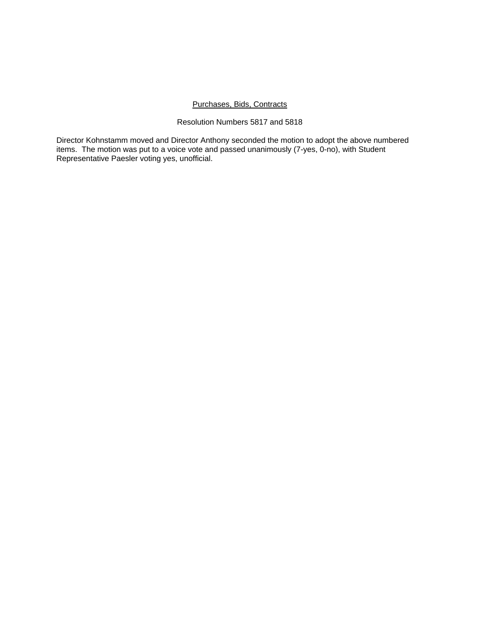### Purchases, Bids, Contracts

#### Resolution Numbers 5817 and 5818

Director Kohnstamm moved and Director Anthony seconded the motion to adopt the above numbered items. The motion was put to a voice vote and passed unanimously (7-yes, 0-no), with Student Representative Paesler voting yes, unofficial.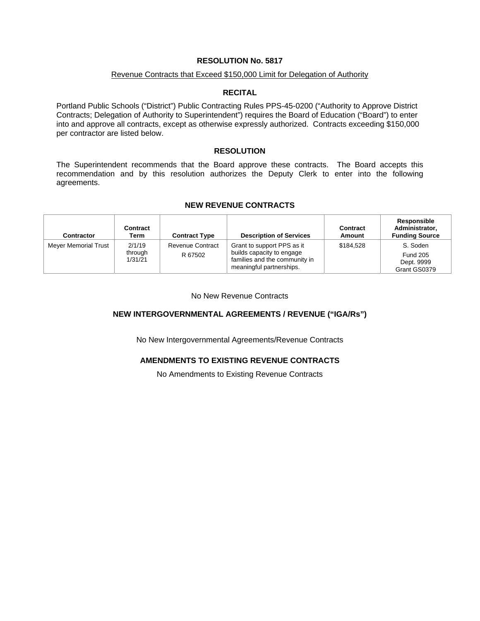#### Revenue Contracts that Exceed \$150,000 Limit for Delegation of Authority

#### **RECITAL**

Portland Public Schools ("District") Public Contracting Rules PPS-45-0200 ("Authority to Approve District Contracts; Delegation of Authority to Superintendent") requires the Board of Education ("Board") to enter into and approve all contracts, except as otherwise expressly authorized. Contracts exceeding \$150,000 per contractor are listed below.

### **RESOLUTION**

The Superintendent recommends that the Board approve these contracts. The Board accepts this recommendation and by this resolution authorizes the Deputy Clerk to enter into the following agreements.

#### **NEW REVENUE CONTRACTS**

| <b>Contractor</b>    | Contract<br>Term             | <b>Contract Type</b>               | <b>Description of Services</b>                                                                                       | Contract<br><b>Amount</b> | Responsible<br>Administrator,<br><b>Funding Source</b>    |
|----------------------|------------------------------|------------------------------------|----------------------------------------------------------------------------------------------------------------------|---------------------------|-----------------------------------------------------------|
| Meyer Memorial Trust | 2/1/19<br>through<br>1/31/21 | <b>Revenue Contract</b><br>R 67502 | Grant to support PPS as it<br>builds capacity to engage<br>families and the community in<br>meaningful partnerships. | \$184.528                 | S. Soden<br><b>Fund 205</b><br>Dept. 9999<br>Grant GS0379 |

No New Revenue Contracts

# **NEW INTERGOVERNMENTAL AGREEMENTS / REVENUE ("IGA/Rs")**

No New Intergovernmental Agreements/Revenue Contracts

# **AMENDMENTS TO EXISTING REVENUE CONTRACTS**

No Amendments to Existing Revenue Contracts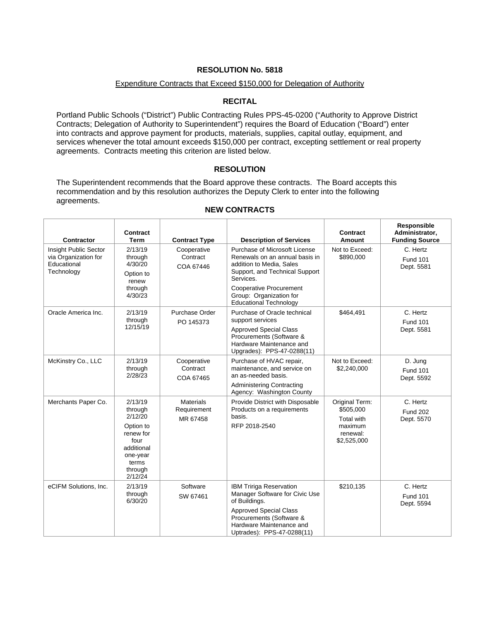#### Expenditure Contracts that Exceed \$150,000 for Delegation of Authority

# **RECITAL**

Portland Public Schools ("District") Public Contracting Rules PPS-45-0200 ("Authority to Approve District Contracts; Delegation of Authority to Superintendent") requires the Board of Education ("Board") enter into contracts and approve payment for products, materials, supplies, capital outlay, equipment, and services whenever the total amount exceeds \$150,000 per contract, excepting settlement or real property agreements. Contracts meeting this criterion are listed below.

### **RESOLUTION**

The Superintendent recommends that the Board approve these contracts. The Board accepts this recommendation and by this resolution authorizes the Deputy Clerk to enter into the following agreements.

| <b>Contractor</b>                                                          | <b>Contract</b><br><b>Term</b>                                                                                           | <b>Contract Type</b>                        | <b>Description of Services</b>                                                                                                                                                                                                           | Contract<br>Amount                                                              | Responsible<br>Administrator,<br><b>Funding Source</b> |
|----------------------------------------------------------------------------|--------------------------------------------------------------------------------------------------------------------------|---------------------------------------------|------------------------------------------------------------------------------------------------------------------------------------------------------------------------------------------------------------------------------------------|---------------------------------------------------------------------------------|--------------------------------------------------------|
| Insight Public Sector<br>via Organization for<br>Educational<br>Technology | 2/13/19<br>through<br>4/30/20<br>Option to<br>renew<br>through<br>4/30/23                                                | Cooperative<br>Contract<br>COA 67446        | Purchase of Microsoft License<br>Renewals on an annual basis in<br>addition to Media, Sales<br>Support, and Technical Support<br>Services.<br><b>Cooperative Procurement</b><br>Group: Organization for<br><b>Educational Technology</b> | Not to Exceed:<br>\$890,000                                                     | C. Hertz<br><b>Fund 101</b><br>Dept. 5581              |
| Oracle America Inc.                                                        | 2/13/19<br>through<br>12/15/19                                                                                           | Purchase Order<br>PO 145373                 | Purchase of Oracle technical<br>support services<br><b>Approved Special Class</b><br>Procurements (Software &<br>Hardware Maintenance and<br>Upgrades): PPS-47-0288(11)                                                                  | \$464,491                                                                       | C. Hertz<br><b>Fund 101</b><br>Dept. 5581              |
| McKinstry Co., LLC                                                         | 2/13/19<br>through<br>2/28/23                                                                                            | Cooperative<br>Contract<br>COA 67465        | Purchase of HVAC repair,<br>maintenance, and service on<br>an as-needed basis.<br><b>Administering Contracting</b><br>Agency: Washington County                                                                                          | Not to Exceed:<br>\$2,240,000                                                   | D. Jung<br><b>Fund 101</b><br>Dept. 5592               |
| Merchants Paper Co.                                                        | 2/13/19<br>through<br>2/12/20<br>Option to<br>renew for<br>four<br>additional<br>one-year<br>terms<br>through<br>2/12/24 | <b>Materials</b><br>Requirement<br>MR 67458 | Provide District with Disposable<br>Products on a requirements<br>basis.<br>RFP 2018-2540                                                                                                                                                | Original Term:<br>\$505.000<br>Total with<br>maximum<br>renewal:<br>\$2,525,000 | C. Hertz<br><b>Fund 202</b><br>Dept. 5570              |
| eCIFM Solutions, Inc.                                                      | 2/13/19<br>through<br>6/30/20                                                                                            | Software<br>SW 67461                        | <b>IBM Tririga Reservation</b><br>Manager Software for Civic Use<br>of Buildings.<br><b>Approved Special Class</b><br>Procurements (Software &<br>Hardware Maintenance and<br>Uptrades): PPS-47-0288(11)                                 | \$210,135                                                                       | C. Hertz<br><b>Fund 101</b><br>Dept. 5594              |

### **NEW CONTRACTS**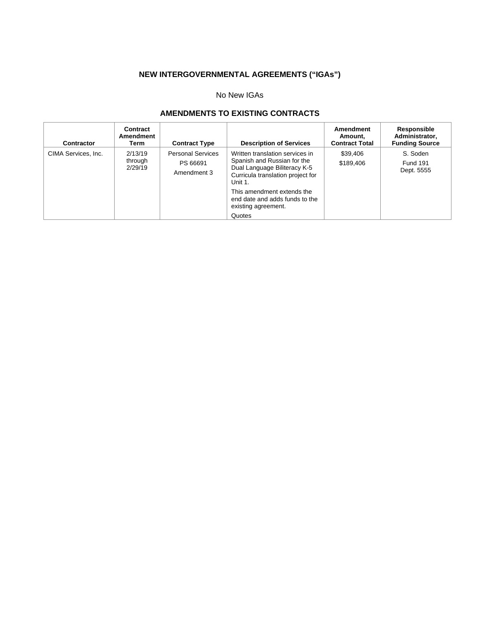# **NEW INTERGOVERNMENTAL AGREEMENTS ("IGAs")**

# No New IGAs

# **AMENDMENTS TO EXISTING CONTRACTS**

| Contractor          | Contract<br>Amendment<br>Term | <b>Contract Type</b>                                | <b>Description of Services</b>                                                                                                                                                                                                                  | Amendment<br>Amount.<br><b>Contract Total</b> | Responsible<br>Administrator,<br><b>Funding Source</b> |
|---------------------|-------------------------------|-----------------------------------------------------|-------------------------------------------------------------------------------------------------------------------------------------------------------------------------------------------------------------------------------------------------|-----------------------------------------------|--------------------------------------------------------|
| CIMA Services, Inc. | 2/13/19<br>through<br>2/29/19 | <b>Personal Services</b><br>PS 66691<br>Amendment 3 | Written translation services in<br>Spanish and Russian for the<br>Dual Language Biliteracy K-5<br>Curricula translation project for<br>Unit 1.<br>This amendment extends the<br>end date and adds funds to the<br>existing agreement.<br>Quotes | \$39,406<br>\$189.406                         | S. Soden<br><b>Fund 191</b><br>Dept. 5555              |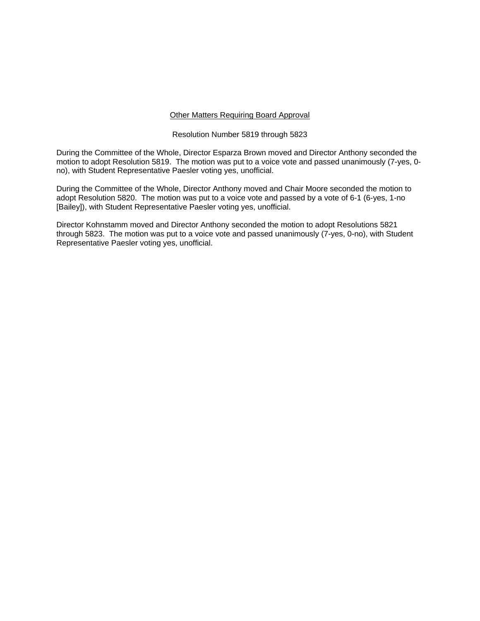#### Other Matters Requiring Board Approval

#### Resolution Number 5819 through 5823

During the Committee of the Whole, Director Esparza Brown moved and Director Anthony seconded the motion to adopt Resolution 5819. The motion was put to a voice vote and passed unanimously (7-yes, 0 no), with Student Representative Paesler voting yes, unofficial.

During the Committee of the Whole, Director Anthony moved and Chair Moore seconded the motion to adopt Resolution 5820. The motion was put to a voice vote and passed by a vote of 6-1 (6-yes, 1-no [Bailey]), with Student Representative Paesler voting yes, unofficial.

Director Kohnstamm moved and Director Anthony seconded the motion to adopt Resolutions 5821 through 5823. The motion was put to a voice vote and passed unanimously (7-yes, 0-no), with Student Representative Paesler voting yes, unofficial.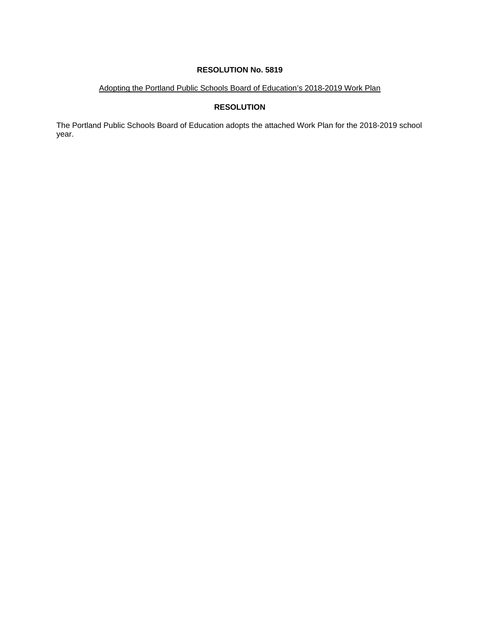# Adopting the Portland Public Schools Board of Education's 2018-2019 Work Plan

# **RESOLUTION**

The Portland Public Schools Board of Education adopts the attached Work Plan for the 2018-2019 school year.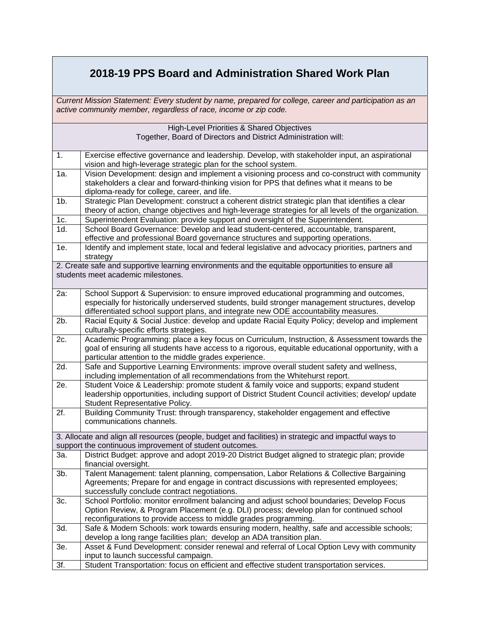# **2018-19 PPS Board and Administration Shared Work Plan**

*Current Mission Statement: Every student by name, prepared for college, career and participation as an active community member, regardless of race, income or zip code.* 

|        | High-Level Priorities & Shared Objectives                                                                     |
|--------|---------------------------------------------------------------------------------------------------------------|
|        | Together, Board of Directors and District Administration will:                                                |
| 1.     | Exercise effective governance and leadership. Develop, with stakeholder input, an aspirational                |
|        | vision and high-leverage strategic plan for the school system.                                                |
| 1a.    | Vision Development: design and implement a visioning process and co-construct with community                  |
|        | stakeholders a clear and forward-thinking vision for PPS that defines what it means to be                     |
|        | diploma-ready for college, career, and life.                                                                  |
| $1b$ . | Strategic Plan Development: construct a coherent district strategic plan that identifies a clear              |
|        | theory of action, change objectives and high-leverage strategies for all levels of the organization.          |
| 1c.    | Superintendent Evaluation: provide support and oversight of the Superintendent.                               |
| 1d.    | School Board Governance: Develop and lead student-centered, accountable, transparent,                         |
|        | effective and professional Board governance structures and supporting operations.                             |
| 1e.    | Identify and implement state, local and federal legislative and advocacy priorities, partners and<br>strategy |
|        | 2. Create safe and supportive learning environments and the equitable opportunities to ensure all             |
|        | students meet academic milestones.                                                                            |
|        |                                                                                                               |
| 2a:    | School Support & Supervision: to ensure improved educational programming and outcomes,                        |
|        | especially for historically underserved students, build stronger management structures, develop               |
|        | differentiated school support plans, and integrate new ODE accountability measures.                           |
| 2b.    | Racial Equity & Social Justice: develop and update Racial Equity Policy; develop and implement                |
|        | culturally-specific efforts strategies.                                                                       |
| 2c.    | Academic Programming: place a key focus on Curriculum, Instruction, & Assessment towards the                  |
|        | goal of ensuring all students have access to a rigorous, equitable educational opportunity, with a            |
|        | particular attention to the middle grades experience.                                                         |
| 2d.    | Safe and Supportive Learning Environments: improve overall student safety and wellness,                       |
|        | including implementation of all recommendations from the Whitehurst report.                                   |
| 2e.    | Student Voice & Leadership: promote student & family voice and supports; expand student                       |
|        | leadership opportunities, including support of District Student Council activities; develop/ update           |
|        | Student Representative Policy.                                                                                |
| 2f.    | Building Community Trust: through transparency, stakeholder engagement and effective                          |
|        | communications channels.                                                                                      |
|        | 3. Allocate and align all resources (people, budget and facilities) in strategic and impactful ways to        |
|        | support the continuous improvement of student outcomes.                                                       |
| За.    | District Budget: approve and adopt 2019-20 District Budget aligned to strategic plan; provide                 |
|        | financial oversight.                                                                                          |
| $3b$ . | Talent Management: talent planning, compensation, Labor Relations & Collective Bargaining                     |
|        | Agreements; Prepare for and engage in contract discussions with represented employees;                        |
|        | successfully conclude contract negotiations.                                                                  |
| 3c.    | School Portfolio: monitor enrollment balancing and adjust school boundaries; Develop Focus                    |
|        | Option Review, & Program Placement (e.g. DLI) process; develop plan for continued school                      |
|        | reconfigurations to provide access to middle grades programming.                                              |
| 3d.    | Safe & Modern Schools: work towards ensuring modern, healthy, safe and accessible schools;                    |
|        | develop a long range facilities plan; develop an ADA transition plan.                                         |
| 3e.    | Asset & Fund Development: consider renewal and referral of Local Option Levy with community                   |
|        | input to launch successful campaign.                                                                          |
| 3f.    | Student Transportation: focus on efficient and effective student transportation services.                     |
|        |                                                                                                               |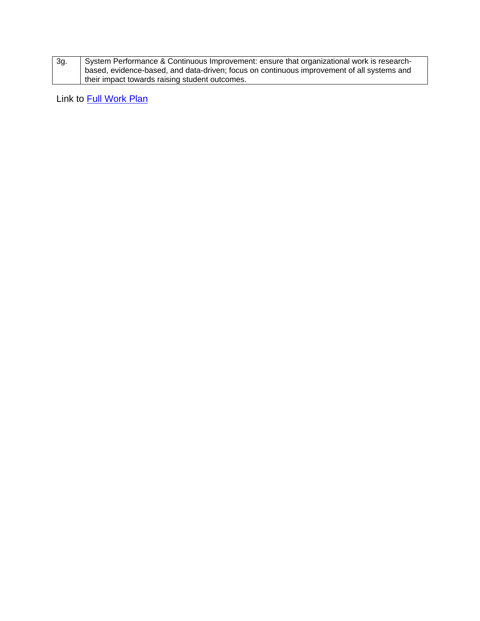| 3g. | System Performance & Continuous Improvement: ensure that organizational work is research-  |
|-----|--------------------------------------------------------------------------------------------|
|     | based, evidence-based, and data-driven; focus on continuous improvement of all systems and |
|     | I their impact towards raising student outcomes.                                           |

Link to Full Work Plan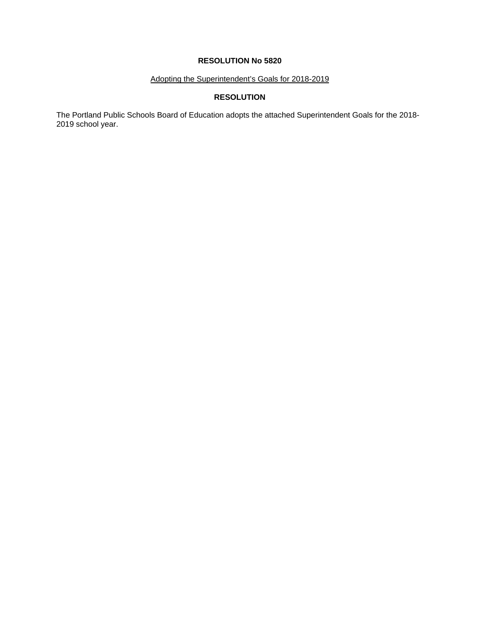# Adopting the Superintendent's Goals for 2018-2019

# **RESOLUTION**

The Portland Public Schools Board of Education adopts the attached Superintendent Goals for the 2018- 2019 school year.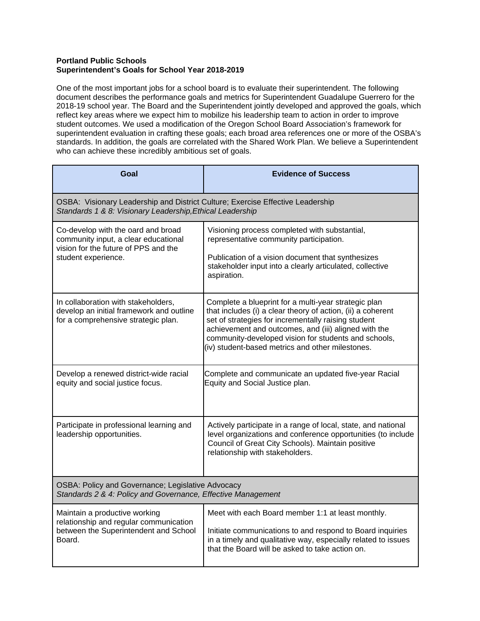# **Portland Public Schools Superintendent's Goals for School Year 2018-2019**

One of the most important jobs for a school board is to evaluate their superintendent. The following document describes the performance goals and metrics for Superintendent Guadalupe Guerrero for the 2018-19 school year. The Board and the Superintendent jointly developed and approved the goals, which reflect key areas where we expect him to mobilize his leadership team to action in order to improve student outcomes. We used a modification of the Oregon School Board Association's framework for superintendent evaluation in crafting these goals; each broad area references one or more of the OSBA's standards. In addition, the goals are correlated with the Shared Work Plan. We believe a Superintendent who can achieve these incredibly ambitious set of goals.

| Goal                                                                                                                                        | <b>Evidence of Success</b>                                                                                                                                                                                                                                                                                                                     |
|---------------------------------------------------------------------------------------------------------------------------------------------|------------------------------------------------------------------------------------------------------------------------------------------------------------------------------------------------------------------------------------------------------------------------------------------------------------------------------------------------|
| OSBA: Visionary Leadership and District Culture; Exercise Effective Leadership<br>Standards 1 & 8: Visionary Leadership, Ethical Leadership |                                                                                                                                                                                                                                                                                                                                                |
| Co-develop with the oard and broad<br>community input, a clear educational<br>vision for the future of PPS and the<br>student experience.   | Visioning process completed with substantial,<br>representative community participation.<br>Publication of a vision document that synthesizes<br>stakeholder input into a clearly articulated, collective<br>aspiration.                                                                                                                       |
| In collaboration with stakeholders,<br>develop an initial framework and outline<br>for a comprehensive strategic plan.                      | Complete a blueprint for a multi-year strategic plan<br>that includes (i) a clear theory of action, (ii) a coherent<br>set of strategies for incrementally raising student<br>achievement and outcomes, and (iii) aligned with the<br>community-developed vision for students and schools,<br>(iv) student-based metrics and other milestones. |
| Develop a renewed district-wide racial<br>equity and social justice focus.                                                                  | Complete and communicate an updated five-year Racial<br>Equity and Social Justice plan.                                                                                                                                                                                                                                                        |
| Participate in professional learning and<br>leadership opportunities.                                                                       | Actively participate in a range of local, state, and national<br>level organizations and conference opportunities (to include<br>Council of Great City Schools). Maintain positive<br>relationship with stakeholders.                                                                                                                          |
| OSBA: Policy and Governance; Legislative Advocacy<br>Standards 2 & 4: Policy and Governance, Effective Management                           |                                                                                                                                                                                                                                                                                                                                                |
| Maintain a productive working<br>relationship and regular communication<br>between the Superintendent and School<br>Board.                  | Meet with each Board member 1:1 at least monthly.<br>Initiate communications to and respond to Board inquiries<br>in a timely and qualitative way, especially related to issues<br>that the Board will be asked to take action on.                                                                                                             |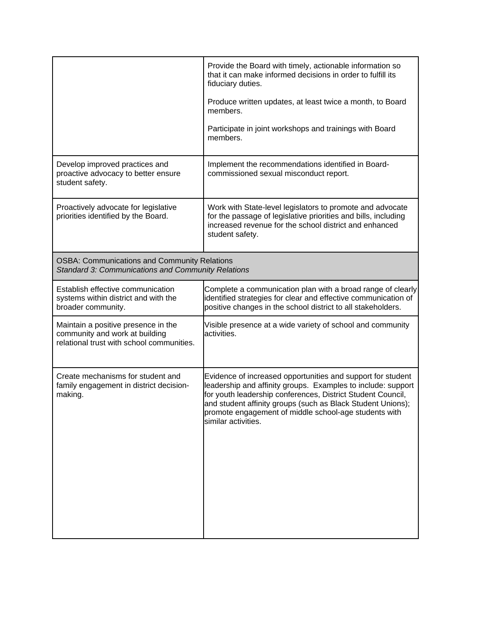|                                                                                                                    | Provide the Board with timely, actionable information so<br>that it can make informed decisions in order to fulfill its<br>fiduciary duties.                                                                                                                                                                                              |
|--------------------------------------------------------------------------------------------------------------------|-------------------------------------------------------------------------------------------------------------------------------------------------------------------------------------------------------------------------------------------------------------------------------------------------------------------------------------------|
|                                                                                                                    | Produce written updates, at least twice a month, to Board<br>members.                                                                                                                                                                                                                                                                     |
|                                                                                                                    | Participate in joint workshops and trainings with Board<br>members.                                                                                                                                                                                                                                                                       |
| Develop improved practices and<br>proactive advocacy to better ensure<br>student safety.                           | Implement the recommendations identified in Board-<br>commissioned sexual misconduct report.                                                                                                                                                                                                                                              |
| Proactively advocate for legislative<br>priorities identified by the Board.                                        | Work with State-level legislators to promote and advocate<br>for the passage of legislative priorities and bills, including<br>increased revenue for the school district and enhanced<br>student safety.                                                                                                                                  |
| <b>OSBA: Communications and Community Relations</b><br>Standard 3: Communications and Community Relations          |                                                                                                                                                                                                                                                                                                                                           |
| Establish effective communication<br>systems within district and with the<br>broader community.                    | Complete a communication plan with a broad range of clearly<br>identified strategies for clear and effective communication of<br>positive changes in the school district to all stakeholders.                                                                                                                                             |
| Maintain a positive presence in the<br>community and work at building<br>relational trust with school communities. | Visible presence at a wide variety of school and community<br>activities.                                                                                                                                                                                                                                                                 |
| Create mechanisms for student and<br>family engagement in district decision-<br>making.                            | Evidence of increased opportunities and support for student<br>leadership and affinity groups. Examples to include: support<br>for youth leadership conferences, District Student Council,<br>and student affinity groups (such as Black Student Unions);<br>promote engagement of middle school-age students with<br>similar activities. |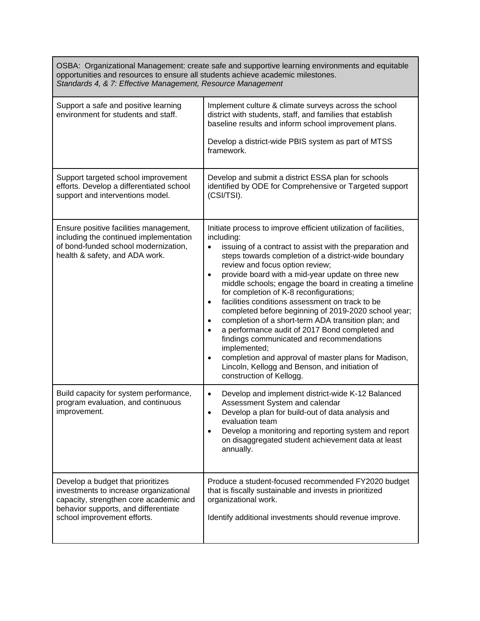OSBA: Organizational Management: create safe and supportive learning environments and equitable opportunities and resources to ensure all students achieve academic milestones. *Standards 4, & 7: Effective Management, Resource Management* 

| Support a safe and positive learning<br>environment for students and staff.                                                                                                                  | Implement culture & climate surveys across the school<br>district with students, staff, and families that establish<br>baseline results and inform school improvement plans.<br>Develop a district-wide PBIS system as part of MTSS<br>framework.                                                                                                                                                                                                                                                                                                                                                                                                                                                                                                                                                                                                                                        |
|----------------------------------------------------------------------------------------------------------------------------------------------------------------------------------------------|------------------------------------------------------------------------------------------------------------------------------------------------------------------------------------------------------------------------------------------------------------------------------------------------------------------------------------------------------------------------------------------------------------------------------------------------------------------------------------------------------------------------------------------------------------------------------------------------------------------------------------------------------------------------------------------------------------------------------------------------------------------------------------------------------------------------------------------------------------------------------------------|
| Support targeted school improvement<br>efforts. Develop a differentiated school<br>support and interventions model.                                                                          | Develop and submit a district ESSA plan for schools<br>identified by ODE for Comprehensive or Targeted support<br>(CSI/TSI).                                                                                                                                                                                                                                                                                                                                                                                                                                                                                                                                                                                                                                                                                                                                                             |
| Ensure positive facilities management,<br>including the continued implementation<br>of bond-funded school modernization,<br>health & safety, and ADA work.                                   | Initiate process to improve efficient utilization of facilities,<br>including:<br>issuing of a contract to assist with the preparation and<br>$\bullet$<br>steps towards completion of a district-wide boundary<br>review and focus option review;<br>provide board with a mid-year update on three new<br>$\bullet$<br>middle schools; engage the board in creating a timeline<br>for completion of K-8 reconfigurations;<br>facilities conditions assessment on track to be<br>$\bullet$<br>completed before beginning of 2019-2020 school year;<br>completion of a short-term ADA transition plan; and<br>$\bullet$<br>a performance audit of 2017 Bond completed and<br>findings communicated and recommendations<br>implemented;<br>completion and approval of master plans for Madison,<br>$\bullet$<br>Lincoln, Kellogg and Benson, and initiation of<br>construction of Kellogg. |
| Build capacity for system performance,<br>program evaluation, and continuous<br>improvement.                                                                                                 | Develop and implement district-wide K-12 Balanced<br>$\bullet$<br>Assessment System and calendar<br>Develop a plan for build-out of data analysis and<br>$\bullet$<br>evaluation team<br>Develop a monitoring and reporting system and report<br>on disaggregated student achievement data at least<br>annually.                                                                                                                                                                                                                                                                                                                                                                                                                                                                                                                                                                         |
| Develop a budget that prioritizes<br>investments to increase organizational<br>capacity, strengthen core academic and<br>behavior supports, and differentiate<br>school improvement efforts. | Produce a student-focused recommended FY2020 budget<br>that is fiscally sustainable and invests in prioritized<br>organizational work.<br>Identify additional investments should revenue improve.                                                                                                                                                                                                                                                                                                                                                                                                                                                                                                                                                                                                                                                                                        |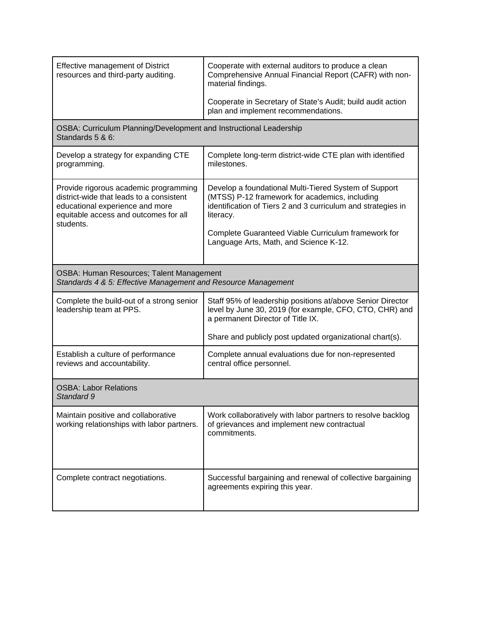| <b>Effective management of District</b><br>resources and third-party auditing.                                                                                             | Cooperate with external auditors to produce a clean<br>Comprehensive Annual Financial Report (CAFR) with non-<br>material findings.                                                                                                                                                   |
|----------------------------------------------------------------------------------------------------------------------------------------------------------------------------|---------------------------------------------------------------------------------------------------------------------------------------------------------------------------------------------------------------------------------------------------------------------------------------|
|                                                                                                                                                                            | Cooperate in Secretary of State's Audit; build audit action<br>plan and implement recommendations.                                                                                                                                                                                    |
| OSBA: Curriculum Planning/Development and Instructional Leadership<br>Standards 5 & 6:                                                                                     |                                                                                                                                                                                                                                                                                       |
| Develop a strategy for expanding CTE<br>programming.                                                                                                                       | Complete long-term district-wide CTE plan with identified<br>milestones.                                                                                                                                                                                                              |
| Provide rigorous academic programming<br>district-wide that leads to a consistent<br>educational experience and more<br>equitable access and outcomes for all<br>students. | Develop a foundational Multi-Tiered System of Support<br>(MTSS) P-12 framework for academics, including<br>identification of Tiers 2 and 3 curriculum and strategies in<br>literacy.<br>Complete Guaranteed Viable Curriculum framework for<br>Language Arts, Math, and Science K-12. |
| OSBA: Human Resources; Talent Management<br>Standards 4 & 5: Effective Management and Resource Management                                                                  |                                                                                                                                                                                                                                                                                       |
| Complete the build-out of a strong senior<br>leadership team at PPS.                                                                                                       | Staff 95% of leadership positions at/above Senior Director<br>level by June 30, 2019 (for example, CFO, CTO, CHR) and<br>a permanent Director of Title IX.                                                                                                                            |
|                                                                                                                                                                            | Share and publicly post updated organizational chart(s).                                                                                                                                                                                                                              |
| Establish a culture of performance<br>reviews and accountability.                                                                                                          | Complete annual evaluations due for non-represented<br>central office personnel.                                                                                                                                                                                                      |
| <b>OSBA: Labor Relations</b><br>Standard 9                                                                                                                                 |                                                                                                                                                                                                                                                                                       |
| Maintain positive and collaborative<br>working relationships with labor partners.                                                                                          | Work collaboratively with labor partners to resolve backlog<br>of grievances and implement new contractual<br>commitments.                                                                                                                                                            |
| Complete contract negotiations.                                                                                                                                            | Successful bargaining and renewal of collective bargaining<br>agreements expiring this year.                                                                                                                                                                                          |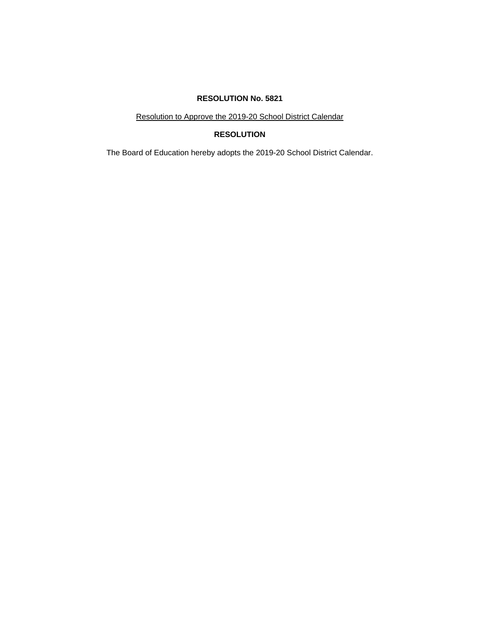Resolution to Approve the 2019-20 School District Calendar

# **RESOLUTION**

The Board of Education hereby adopts the 2019-20 School District Calendar.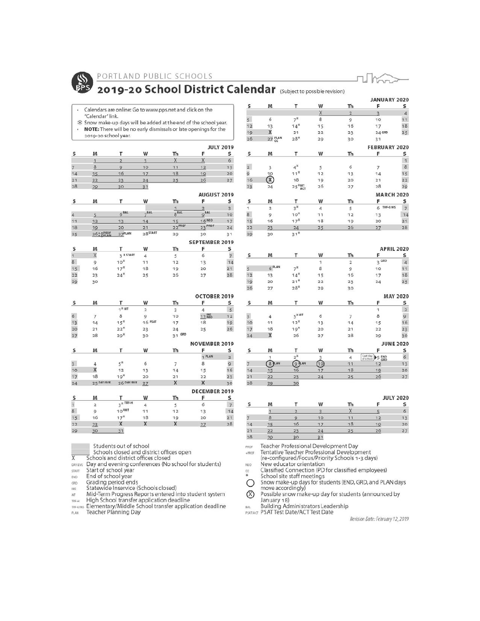

### PORTLAND PUBLIC SCHOOLS



# 2019-20 School District Calendar (Subject to possible revision)

Calendars are online: Go to www.pps.net and click on the  $\blacksquare$ "Calendar" link.

- \$ Snow make-up days will be added at the end of the school year. NOTE: There will be no early dismissals or late openings for the  $\ddot{\phantom{0}}$
- 2019-20 school year.

|                |    |    |    |    | <b>JULY 2019</b> |              |  |
|----------------|----|----|----|----|------------------|--------------|--|
|                | м  |    | w  | Th |                  |              |  |
|                |    |    |    |    |                  | o            |  |
|                |    |    | 10 |    |                  | 13           |  |
|                |    | 16 |    | 18 |                  | 20           |  |
| 2 <sup>1</sup> | 22 | 23 | 24 | 25 | 26               | 27           |  |
| 28             | 29 | 30 |    |    |                  |              |  |
|                |    |    |    |    |                  | ALIGHET 2019 |  |

|    |          |                      |            |           | <b>KUQUSIZUIY</b>     |    |
|----|----------|----------------------|------------|-----------|-----------------------|----|
|    | M        |                      | w          | Th        |                       |    |
|    |          |                      |            |           |                       | R  |
| 4  |          | 6 <sup>BAL</sup>     | BAL        | $8^{BAL}$ | BAL                   | 10 |
| 11 | 12       | 13                   | 14         | 15        | <b>16 NEO</b>         | 17 |
| 18 | 19       | 20                   | 21         | 22PROF    | 23 PROF               | 24 |
| 25 | 26° PROF | $27$ <sup>PLAN</sup> | $28$ START | 29        | 30                    | 31 |
|    |          |                      |            |           | <b>SEPTEMBER 2019</b> |    |

|    | M  |                   | w  | Th |    |    |
|----|----|-------------------|----|----|----|----|
|    |    | <b>R</b> START    |    |    | o  |    |
| 8  |    | 10 <sup>8</sup>   |    | 12 |    | 14 |
| 15 | 16 | 17 <sup>M</sup>   | 18 | 19 | 20 |    |
| 22 | 23 | $24$ <sup>N</sup> | 25 | 26 | 27 | 28 |
|    | 30 |                   |    |    |    |    |

|    |                |                               |         |           | <b>OCTOBER 2019</b>  |                         |
|----|----------------|-------------------------------|---------|-----------|----------------------|-------------------------|
| s  | M              | т                             | w       | Th        | F                    | s                       |
|    |                | $1$ <sup>K</sup> MT           | 2       | 3         | 4                    | 5                       |
| 6  | 7              | 8                             | 9       | 10        | $11$ NS              | 12                      |
| 13 | 14             | $15*$                         | 16 PSAT | 17        | 18                   | 19                      |
| 20 | 21             | $22*$                         | 23      | 24        | 25                   | 26                      |
| 27 | 28             | $29*$                         | 30      | GRD<br>31 |                      |                         |
|    |                |                               |         |           | <b>NOVEMBER 2019</b> |                         |
| s  | M              | т                             | W       | Th        | F                    | s                       |
|    |                |                               |         |           | 1 PLAN               | $\overline{\mathbf{2}}$ |
| 3  | $\overline{4}$ | $5^{\text{N}}$                | 6       | 7         | 8                    | 9                       |
| 10 | X              | 12                            | 13      | 14        | 15                   | 16                      |
| 17 | 18             | $19*$                         | 20      | 21        | 22                   | 23                      |
| 24 | 25 DAY/EVE     | 26 DAY/EVE                    | 27      | X         | x                    | 30                      |
|    |                |                               |         |           | DECEMBER 2019        |                         |
| s  | M              |                               | w       | Th        | F                    | s                       |
| 1  | $\overline{2}$ | $3$ <sup><i>K</i> TRF-H</sup> | 4       | 5         | 6                    | $\overline{7}$          |
| 8  | 9              | 10 <sup>NMT</sup>             | 11      | 12        | 13                   | 14                      |
| 15 | 16             | 17 <sup>R</sup>               | 18      | 19        | 20                   | 21                      |
| 22 | 23             | X                             | X       | X         | 27                   | 28                      |

|                |                |                                    |    |                | <b>JANUARY 2020</b>     |                |
|----------------|----------------|------------------------------------|----|----------------|-------------------------|----------------|
| s              | M              | т                                  | W  | Th             | F                       | s              |
|                |                |                                    | Χ  | $\overline{2}$ | $\overline{\mathbf{3}}$ | $\overline{4}$ |
| 5 <sup>5</sup> | 6              | $7^*$                              | 8  | 9              | 10                      | 11             |
| 12             | 13             | $14$ <sup>N</sup>                  | 15 | 16             | 17                      | 18             |
| 19             | X              | 21                                 | 22 | 23             | 24 GRD                  | 25             |
| 26             | 27 PLAN        | $28*$                              | 29 | 30             | 31                      |                |
|                |                |                                    |    |                | <b>FEBRUARY 2020</b>    |                |
| s              | M              | т                                  | W  | Th             | F                       | s              |
|                |                |                                    |    |                |                         | $\mathbf{1}$   |
| $\frac{2}{9}$  | 3              | $4^*$                              | 5  | 6              | 7                       | 8              |
|                | 10             | $11^M$                             | 12 | 13             | 14                      | 15             |
| 16             | ®              | 18                                 | 19 | 20             | 21                      | 22             |
| 23             | 24             | $25 \frac{\text{#MT}}{\text{ACT}}$ | 26 | 27             | 28                      | 29             |
|                |                |                                    |    |                | <b>MARCH 2020</b>       |                |
| s              | M              | T                                  | W  | Th             | F                       | s              |
| 1              | $\overline{2}$ | $3*$                               | 4  | 5              | TRF-E/MS<br>6           | $\overline{7}$ |
| 8              | 9              | 10 <sup>π</sup>                    | 11 | 12             | 13                      | 14             |
| 15             | 16             | 17 <sup>8</sup>                    | 18 | 19             | 20                      | 21             |
| 22             | 23             | 24                                 | 25 | 26             | 27                      | 28             |
| 29             | 30             | $31*$                              |    |                |                         |                |
|                |                |                                    |    |                | <b>APRIL 2020</b>       |                |
| S              | M              | т                                  | W  | Th             | F                       | s              |

| s                       | M                 | т                         | w              | Th             | F                              | s                       |
|-------------------------|-------------------|---------------------------|----------------|----------------|--------------------------------|-------------------------|
|                         |                   |                           | $\overline{1}$ | $\overline{2}$ | 3 <sup>GRD</sup>               | $\overline{4}$          |
| $\overline{5}$          | 6 <sup>PLAN</sup> | $7^{\aleph}$              | 8              | 9              | 10                             | 11                      |
| 12                      | 13                | $14$ <sup>n</sup>         | 15             | 16             | 17                             | 18                      |
| 19                      | 20                | $21*$                     | 22             | 23             | 24                             | 25                      |
| 26                      | 27                | $28*$                     | 29             | 30             |                                |                         |
|                         |                   |                           |                |                |                                | <b>MAY 2020</b>         |
| s                       | M                 | т                         | w              | Th             | F                              | s                       |
|                         |                   |                           |                |                | $\overline{1}$                 | $\overline{\mathbf{2}}$ |
| $\overline{\mathbf{3}}$ | 4                 | $5$ <sup><i>KMT</i></sup> | 6              | 7              | 8                              | $\overline{9}$          |
| 10                      | 11                | $12*$                     | 13             | 14             | 15                             | 16                      |
| 17                      | 18                | $19*$                     | 20             | 21             | 22                             | 23                      |
| 24                      | X                 | 26                        | 27             | 28             | 29                             | 30                      |
|                         |                   |                           |                |                |                                | <b>JUNE 2020</b>        |
| s                       | M                 | т                         | W              | Th             | F                              | s                       |
|                         | 1                 | $2^{\aleph}$              | 3              | 4              | Last day<br>of school<br>S END | 6                       |
| $\overline{7}$          | 8 PLAN            | 9 <sub>Am</sub>           | ⚾              | 11             | 12                             | 13                      |
| 14                      | 15                | 16                        | 17             | 18             | 19                             | 20                      |
| 21                      | 22                | 23                        | 24             | 25             | 26                             | 27                      |
| 28                      | 29                | 30                        |                |                |                                |                         |

|    | M  |    | W  | Th | <b>JULY 2020</b> |    |
|----|----|----|----|----|------------------|----|
|    |    |    |    |    |                  |    |
|    |    |    |    |    |                  |    |
|    |    |    | 10 |    |                  | 13 |
|    |    | 16 |    | 18 | o                | 20 |
|    | 22 |    | 24 |    |                  | 27 |
| 28 | 20 | 20 | D. |    |                  |    |

Students out of school

Schools closed and district offices open

 $\overline{\mathsf{x}}$ Schools and district offices closed

 $31$ 

DAY/EVE Day and evening conferences (No school for students)

Start of school year START

 $30$ 

29

End of school year END

Grading period ends GRD

Stating period errors<br>
Mid-Term Progress Reports entered into student system<br>
Mid-Term Progress Reports entered into student system<br>
High School transfer application deadline<br>
The Elementary/Middle School transfer applicat

PROF

Teacher Professional Development Day<br>Tentative Teacher Professional Development<br>(re-configured/Focus/Priority Schools 1-3 days) +PROF

New educator orientation **NEO** Classified Connection (PD for classified employees)

 $rac{cc}{*}$ School site staff meetings

O Snow make-up days for students (END, GRD, and PLAN days move accordingly)

 $\circledR$ Possible snow make-up day for students (announced by January 18)<br>Building Administrators Leadership<br>PSATACT Test Date/ACT Test Date

Revision Date: February 12, 2019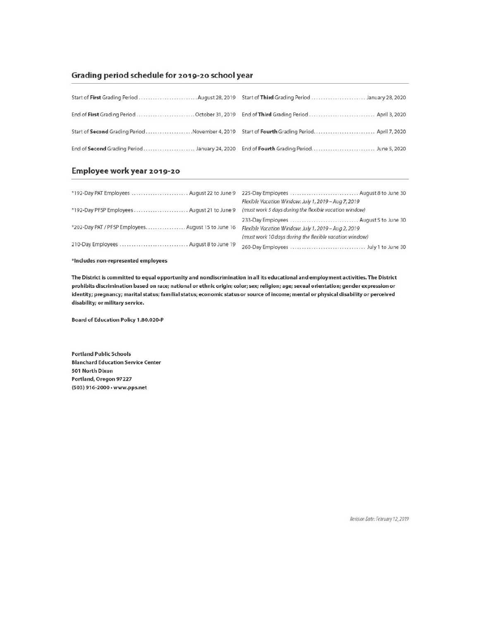#### Grading period schedule for 2019-20 school year

| Start of First Grading Period  August 28, 2019 |  |
|------------------------------------------------|--|
|                                                |  |
|                                                |  |
|                                                |  |

# Employee work year 2019-20

| *192-Day PAT Employees  August 22 to June 9        | 225-Day Employees  August 8 to June 30                  |  |  |
|----------------------------------------------------|---------------------------------------------------------|--|--|
|                                                    | Flexible Vacation Window: July 1, 2019 - Aug 7, 2019    |  |  |
| *192-Day PFSP Employees  August 21 to June 9       | (must work 5 days during the flexible vacation window)  |  |  |
|                                                    | 233-Day Employees  August 5 to June 30                  |  |  |
| *202-Day PAT / PFSP Employees August 15 to June 16 | Flexible Vacation Window: July 1, 2019 - Aug 2, 2019    |  |  |
|                                                    | (must work 10 days during the flexible vacation window) |  |  |
| 210-Day Employees  August 8 to June 19             |                                                         |  |  |
|                                                    |                                                         |  |  |

\*Includes non-represented employees

The District is committed to equal opportunity and nondiscrimination in all its educational and employment activities. The District prohibits discrimination based on race; national or ethnic origin; color; sex; religion; age; sexual orientation; gender expression or identity; pregnancy; marital status; familial status; economic status or source of income; mental or physical disability or perceived disability; or military service.

**Board of Education Policy 1.80.020-P** 

**Portland Public Schools Blanchard Education Service Center** 501 North Dixon Portland, Oregon 97227 (503) 916-2000 · www.pps.net

Revision Date: February 12, 2019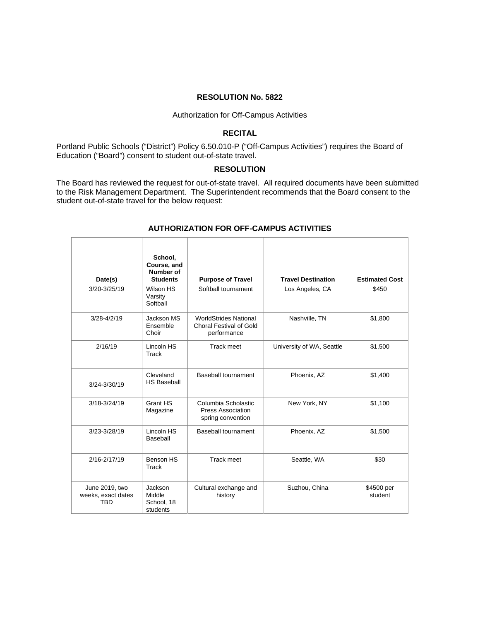#### Authorization for Off-Campus Activities

#### **RECITAL**

Portland Public Schools ("District") Policy 6.50.010-P ("Off-Campus Activities") requires the Board of Education ("Board") consent to student out-of-state travel.

### **RESOLUTION**

The Board has reviewed the request for out-of-state travel. All required documents have been submitted to the Risk Management Department. The Superintendent recommends that the Board consent to the student out-of-state travel for the below request:

|                                                    | School,<br>Course, and<br>Number of<br><b>Students</b> |                                                                        | <b>Travel Destination</b> | <b>Estimated Cost</b> |
|----------------------------------------------------|--------------------------------------------------------|------------------------------------------------------------------------|---------------------------|-----------------------|
| Date(s)                                            |                                                        | <b>Purpose of Travel</b>                                               |                           |                       |
| 3/20-3/25/19                                       | Wilson HS<br>Varsity<br>Softball                       | Softball tournament                                                    | Los Angeles, CA           | \$450                 |
| $3/28 - 4/2/19$                                    | Jackson MS<br>Ensemble<br>Choir                        | <b>WorldStrides National</b><br>Choral Festival of Gold<br>performance | Nashville, TN             | \$1.800               |
| 2/16/19                                            | Lincoln HS<br>Track                                    | Track meet                                                             | University of WA, Seattle | \$1,500               |
| 3/24-3/30/19                                       | Cleveland<br><b>HS Baseball</b>                        | Baseball tournament                                                    | Phoenix, AZ               | \$1,400               |
| $3/18 - 3/24/19$                                   | Grant HS<br>Magazine                                   | Columbia Scholastic<br>Press Association<br>spring convention          | New York, NY              | \$1,100               |
| 3/23-3/28/19                                       | Lincoln HS<br>Baseball                                 | Baseball tournament                                                    | Phoenix, AZ               | \$1,500               |
| 2/16-2/17/19                                       | Benson HS<br>Track                                     | Track meet                                                             | Seattle, WA               | \$30                  |
| June 2019, two<br>weeks, exact dates<br><b>TBD</b> | Jackson<br>Middle<br>School, 18<br>students            | Cultural exchange and<br>history                                       | Suzhou, China             | \$4500 per<br>student |

#### **AUTHORIZATION FOR OFF-CAMPUS ACTIVITIES**